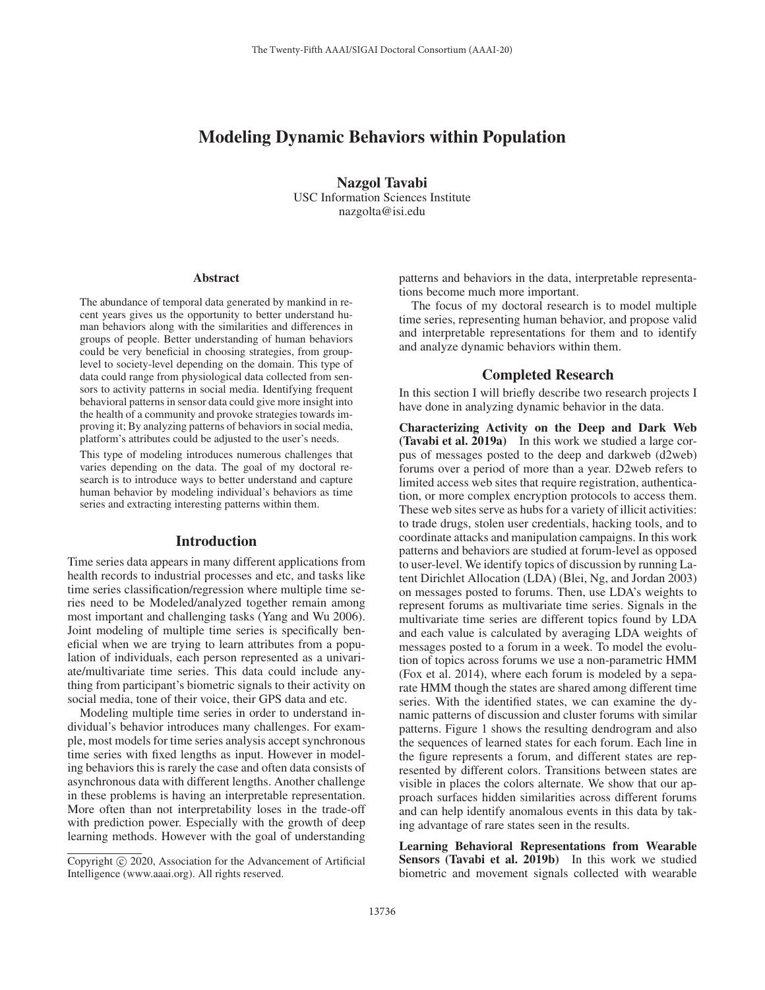# Modeling Dynamic Behaviors within Population

Nazgol Tavabi USC Information Sciences Institute nazgolta@isi.edu

#### **Abstract**

The abundance of temporal data generated by mankind in recent years gives us the opportunity to better understand human behaviors along with the similarities and differences in groups of people. Better understanding of human behaviors could be very beneficial in choosing strategies, from grouplevel to society-level depending on the domain. This type of data could range from physiological data collected from sensors to activity patterns in social media. Identifying frequent behavioral patterns in sensor data could give more insight into the health of a community and provoke strategies towards improving it; By analyzing patterns of behaviors in social media, platform's attributes could be adjusted to the user's needs.

This type of modeling introduces numerous challenges that varies depending on the data. The goal of my doctoral research is to introduce ways to better understand and capture human behavior by modeling individual's behaviors as time series and extracting interesting patterns within them.

### Introduction

Time series data appears in many different applications from health records to industrial processes and etc, and tasks like time series classification/regression where multiple time series need to be Modeled/analyzed together remain among most important and challenging tasks (Yang and Wu 2006). Joint modeling of multiple time series is specifically beneficial when we are trying to learn attributes from a population of individuals, each person represented as a univariate/multivariate time series. This data could include anything from participant's biometric signals to their activity on social media, tone of their voice, their GPS data and etc.

Modeling multiple time series in order to understand individual's behavior introduces many challenges. For example, most models for time series analysis accept synchronous time series with fixed lengths as input. However in modeling behaviors this is rarely the case and often data consists of asynchronous data with different lengths. Another challenge in these problems is having an interpretable representation. More often than not interpretability loses in the trade-off with prediction power. Especially with the growth of deep learning methods. However with the goal of understanding patterns and behaviors in the data, interpretable representations become much more important.

The focus of my doctoral research is to model multiple time series, representing human behavior, and propose valid and interpretable representations for them and to identify and analyze dynamic behaviors within them.

#### Completed Research

In this section I will briefly describe two research projects I have done in analyzing dynamic behavior in the data.

Characterizing Activity on the Deep and Dark Web (Tavabi et al. 2019a) In this work we studied a large corpus of messages posted to the deep and darkweb (d2web) forums over a period of more than a year. D2web refers to limited access web sites that require registration, authentication, or more complex encryption protocols to access them. These web sites serve as hubs for a variety of illicit activities: to trade drugs, stolen user credentials, hacking tools, and to coordinate attacks and manipulation campaigns. In this work patterns and behaviors are studied at forum-level as opposed to user-level. We identify topics of discussion by running Latent Dirichlet Allocation (LDA) (Blei, Ng, and Jordan 2003) on messages posted to forums. Then, use LDA's weights to represent forums as multivariate time series. Signals in the multivariate time series are different topics found by LDA and each value is calculated by averaging LDA weights of messages posted to a forum in a week. To model the evolution of topics across forums we use a non-parametric HMM (Fox et al. 2014), where each forum is modeled by a separate HMM though the states are shared among different time series. With the identified states, we can examine the dynamic patterns of discussion and cluster forums with similar patterns. Figure 1 shows the resulting dendrogram and also the sequences of learned states for each forum. Each line in the figure represents a forum, and different states are represented by different colors. Transitions between states are visible in places the colors alternate. We show that our approach surfaces hidden similarities across different forums and can help identify anomalous events in this data by taking advantage of rare states seen in the results.

Learning Behavioral Representations from Wearable Sensors (Tavabi et al. 2019b) In this work we studied biometric and movement signals collected with wearable

Copyright  $\odot$  2020, Association for the Advancement of Artificial Intelligence (www.aaai.org). All rights reserved.